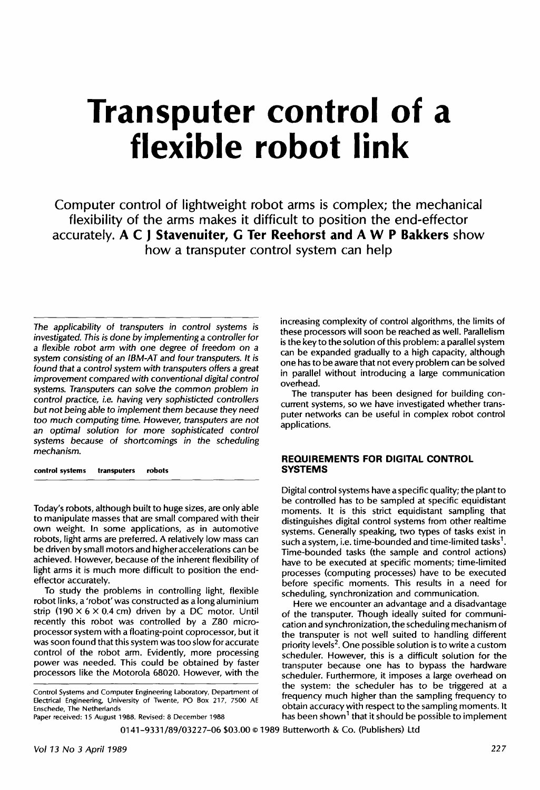# **Transputer control of a flexible robot link**

**Computer control of lightweight robot arms is complex; the mechanical flexibility of the arms makes it difficult to position the end-effector accurately. A C J Stavenuiter, G Ter Reehorst and A W P Bakkers show how a transputer control system can help** 

*The applicability of transputers in control systems is investigated. This is done by implementing a controller for a flexible robot arm with one degree of freedom on a system consisting of an IBM-AT and four transputers. It is found that a control system with transputers offers a great improvement compared with conventional digital control systems. Transputers can solve the common problem in control practice, Le. having very sophisticted controllers but not being able to implement them because they need too much computing time. However, transputers are not an optimal solution for more sophisticated control systems because of shortcomings in the scheduling mechanism.* 

**control systems transputers robots** 

Today's robots, although built to huge sizes, are only able to manipulate masses that are small compared with their own weight. In some applications, as in automotive robots, light arms are preferred. A relatively low mass can be driven by small motors and higher accelerations can be achieved. However, because of the inherent flexibility of light arms it is much more difficult to position the endeffector accurately.

To study the problems in controlling light, flexible robot links, a 'robot' was constructed as a long aluminium strip (190  $\times$  6  $\times$  0.4 cm) driven by a DC motor. Until recently this robot was controlled by a Z80 microprocessor system with a floating-point coprocessor, but it was soon found that this system was too slow for accurate control of the robot arm. Evidently, more processing power was needed. This could be obtained by faster processors like the Motorola 68020. However, with the

Control Systems and Computer Engineering Laboratory, Department of Electrical Engineering, University of Twente, PO Box 217, 7500 AE Enschede, The Netherlands

Paper received: 15 August 1988. Revised: 8 December 1988

increasing complexity of control algorithms, the limits of these processors will soon be reached as well. Parallelism is the key to the solution of this problem: a parallel system can be expanded gradually to a high capacity, although one has to be aware that not every problem can be solved in parallel without introducing a large communication overhead.

The transputer has been designed for building concurrent systems, so we have investigated whether transpurer networks can be useful in complex robot control applications.

### **REQUIREMENTS FOR DIGITAL CONTROL SYSTEMS**

Digital control systems have a specific quality; the plant to be controlled has to be sampled at specific equidistant moments. It is this strict equidistant sampling that distinguishes digital control systems from other realtime systems. Generally speaking, two types of tasks exist in such a system, i.e. time-bounded and time-limited tasks<sup>1</sup>. Time-bounded tasks (the sample and control actions) have to be executed at specific moments; time-limited processes (computing processes) have to be executed before specific moments. This results in a need for scheduling, synchronization and communication.

Here we encounter an advantage and a disadvantage of the transputer. Though ideally suited for communication and synchronization, the scheduling mechanism of the transputer is not well suited to handling different priority levels<sup>2</sup>. One possible solution is to write a custom scheduler. However, this is a difficult solution for the transputer because one has to bypass the hardware scheduler. Furthermore, it imposes a large overhead on the system: the scheduler has to be triggered at a frequency much higher than the sampling frequency to obtain accuracy with respect to the sampling moments. It<br>has been shown<sup>1</sup> that it should be possible to implement

0141-9331/89/0322 7-06 \$03.00 © 1989 Butterworth & Co. (Publishers) Ltd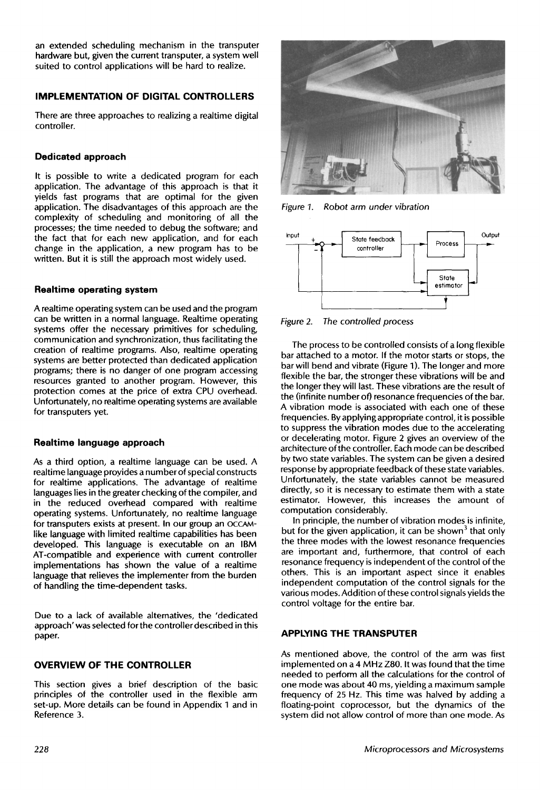an extended scheduling mechanism in the transputer hardware but, given the current transputer, a system well suited to control applications will be hard to realize.

## **IMPLEMENTATION OF DIGITAL CONTROLLERS**

There are three approaches to realizing a realtime digital controller.

## **Dedicated approach**

It is possible to write a dedicated program for each application. The advantage of this approach is that it yields fast programs that are optimal for the given application. The disadvantages of this approach are the complexity of scheduling and monitoring of all the processes; the time needed to debug the software; and the fact that for each new application, and for each change in the application, a new program has to be written. But it is still the approach most widely used.

## **Realtime operating system**

A realtime operating system can be used and the program can be written in a normal language. Realtime operating systems offer the necessary primitives for scheduling, communication and synchronization, thus facilitating the creation of realtime programs. Also, realtime operating systems are better protected than dedicated application programs; there is no danger of one program accessing resources granted to another program. However, this protection comes at the price of extra CPU overhead. Unfortunately, no realtime operating systems are available for transputers yet.

## **Realtime language approach**

As a third option, a realtime language can be used. A realtime language provides a number of special constructs for realtime applications. The advantage of realtime languages lies in the greater checking of the compiler, and in the reduced overhead compared with realtime operating systems. Unfortunately, no realtime language for transputers exists at present. In our group an OCCAMlike language with limited realtime capabilities has been developed. This language is executable on an IBM AT-compatible and experience with current controller implementations has shown the value of a realtime language that relieves the implementer from the burden of handling the time-dependent tasks.

Due to a lack of available alternatives, the 'dedicated approach' was selected for the controller described in this paper.

## **OVERVIEW OF THE CONTROLLER**

This section gives a brief description of the basic principles of the controller used in the flexible arm set-up. More details can be found in Appendix 1 and in Reference 3.



*Figure I. Robot arm under vibration* 



*Figure 2. The controlled process* 

The process to be controlled consists of a long flexible bar attached to a motor. If the motor starts or stops, the bar will bend and vibrate (Figure I). The longer and more flexible the bar, the stronger these vibrations will be and the longer they will last. These vibrations are the result of the (infinite number of) resonance frequencies of the bar. A vibration mode is associated with each one of these frequencies. By applying appropriate control, it is possible to suppress the vibration modes due to the accelerating or decelerating motor. Figure 2 gives an overview of the architecture of the controller. Each mode can be described by two state variables. The system can be given a desired response by appropriate feedback of these state variables. Unfortunately, the state variables cannot be measured directly, so it is necessary to estimate them with a state estimator. However, this increases the amount of computation considerably.

In principle, the number of vibration modes is infinite, but for the given application, it can be shown<sup>3</sup> that only the three modes with the lowest resonance frequencies are important and, furthermore, that control of each resonance frequency is independent of the control of the others. This is an important aspect since it enables independent computation of the control signals for the various modes. Addition of these control signals yields the control voltage for the entire bar.

## **APPLYING THE TRANSPUTER**

As mentioned above, the control of the arm was first implemented on a 4 MHz Z80. It was found that the time needed to perform all the calculations for the control of one mode was about 40 ms, yielding a maximum sample frequency of 25 Hz. This time was halved by adding a floating-point coprocessor, but the dynamics of the system did not allow control of more than one mode. As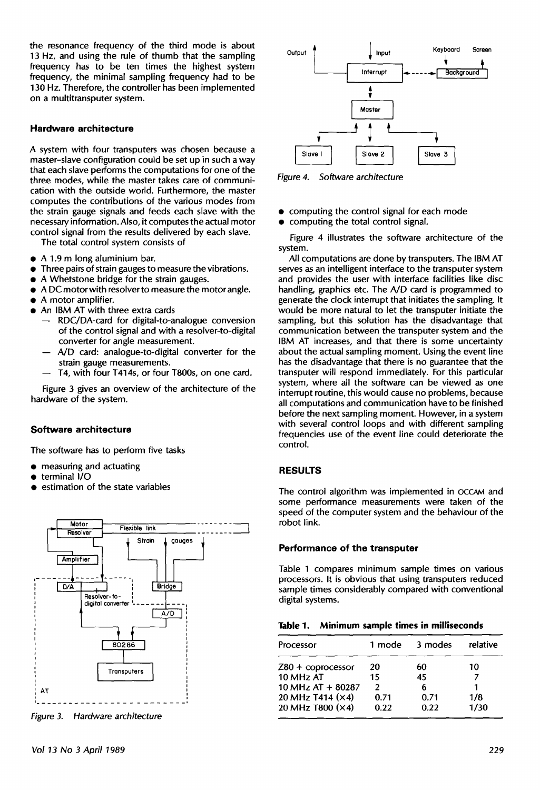the resonance frequency of the third mode is about 13 Hz, and using the rule of thumb that the sampling frequency has to be ten times the highest system frequency, the minimal sampling frequency had to be 130 Hz. Therefore, the controller has been implemented on a multitransputer system.

#### **Hardware architecture**

A system with four transputers was chosen because a master-slave configuration could be set up in such a way that each slave performs the computations for one of the three modes, while the master takes care of communication with the outside world. Furthermore, the master computes the contributions of the various modes from the strain gauge signals and feeds each slave with the necessary information. Also, it computes the actual motor control signal from the results delivered by each slave.

The total control system consists of

- $\bullet$  A 1.9 m long aluminium bar.
- Three pairs of strain gauges to measure the vibrations.
- A Whetstone bridge for the strain gauges.
- A DC motor with resolver to measure the motor angle.
- A motor amplifier.
- An IBM AT with three extra cards
	- RDC/DA-card for digital-to-analogue conversion of the control signal and with a resolver-to-digital converter for angle measurement.
	- A/D card: analogue-to-digital converter for the strain gauge measurements.
	- T4, with four T414s, or four T800s, on one card.

Figure 3 gives an overview of the architecture of the hardware of the system.

#### **Software architecture**

The software has to perform five tasks

- measuring and actuating
- terminal I/0
- estimation of the state variables



*Figure 3. Hardware architecture* 



*Figure 4. Software architecture* 

- computing the control signal for each mode
- computing the total control signal.

Figure 4 illustrates the software architecture of the system.

All computations are done by transputers. The IBM AT serves as an intelligent interface to the transputer system and provides the user with interface facilities like disc handling, graphics etc. The A/D card is programmed to generate the clock interrupt that initiates the sampling. It would be more natural to let the transputer initiate the sampling, but this solution has the disadvantage that communication between the transputer system and the IBM AT increases, and that there is some uncertainty about the actual sampling moment. Using the event line has the disadvantage that there is no guarantee that the transputer will respond immediately. For this particular system, where all the software can be viewed as one interrupt routine, this would cause no problems, because all computations and communication have to be finished before the next sampling moment. However, in a system with several control loops and with different sampling frequencies use of the event line could deteriorate the control.

## **RESULTS**

The control algorithm was implemented in OCCAM and some performance measurements were taken of the speed of the computer system and the behaviour of the robot link.

#### **Performance of the transputer**

Table 1 compares minimum sample times on various processors. It is obvious that using transputers reduced sample times considerably compared with conventional digital systems.

|  |  |  |  |  | Table 1. Minimum sample times in milliseconds |
|--|--|--|--|--|-----------------------------------------------|
|--|--|--|--|--|-----------------------------------------------|

| Processor           | 1 mode        | 3 modes | relative |  |
|---------------------|---------------|---------|----------|--|
| $Z80 +$ coprocessor | 20            | 60      | 10       |  |
| 10 MHz AT           | 15            | 45      |          |  |
| 10 MHz AT $+$ 80287 | $\mathcal{P}$ | 6       | 1        |  |
| 20 MHz T414 (×4)    | 0.71          | 0.71    | 1/8      |  |
| 20 MHz T800 (×4)    | 0.22          | 0.22    | 1/30     |  |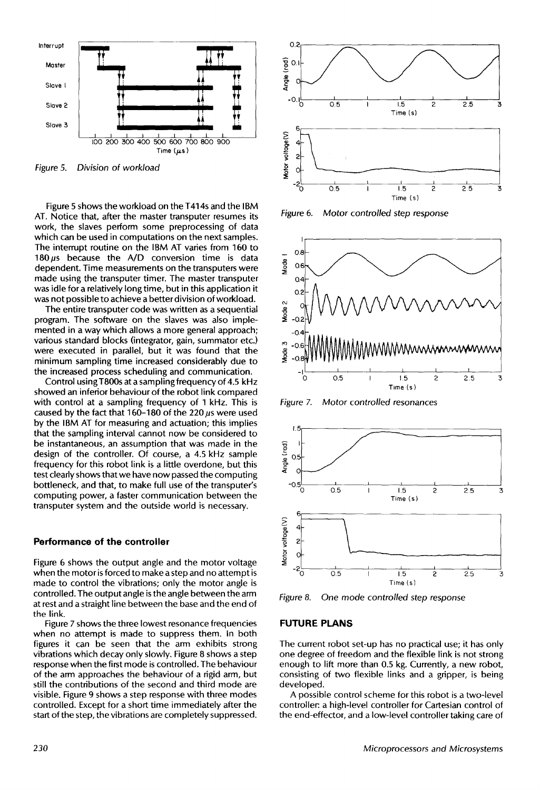

*Figure 5. Division of workload* 

Figure 5 shows the workload on the T414s and the IBM AT. Notice that, after the master transputer resumes its work, the slaves perform some preprocessing of data which can be used in computations on the next samples. The interrupt routine on the IBM AT varies from 160 to 180 $\mu$ s because the A/D conversion time is data dependent. Time measurements on the transputers were made using the transputer timer. The master transputer was idle for a relatively long time, but in this application it was not possible to achieve a better division of workload.

The entire transputer code was written as a sequential program. The software on the slaves was also implemented in a way which allows a more general approach; various standard blocks (integrator, gain, summator etc.) were executed in parallel, but it was found that the minimum sampling time increased considerably due to the increased process scheduling and communication.

Control usingT800s at a sampling frequency of 4.5 kHz showed an inferior behaviour of the robot link compared with control at a sampling frequency of 1 kHz. This is caused by the fact that 160-180 of the 220  $\mu$ s were used by the IBM AT for measuring and actuation; this implies that the sampling interval cannot now be considered to be instantaneous, an assumption that was made in the design of the controller. Of course, a 4.5 kHz sample frequency for this robot link is a little overdone, but this test clearly shows that we have now passed the computing bottleneck, and that, to make full use of the transputer's computing power, a faster communication between the transputer system and the outside world is necessary.

#### **Performance of the controller**

Figure 6 shows the output angle and the motor voltage when the motor is forced to make a step and no attempt is made to control the vibrations; only the motor angle is controlled. The output angle is the angle between the arm at rest and a straight line between the base and the end of the link.

Figure 7 shows the three lowest resonance frequencies when no attempt is made to suppress them. In both figures it can be seen that the arm exhibits strong vibrations which decay only slowly. Figure 8 shows a step response when the first mode is controlled. The behaviour of the arm approaches the behaviour of a rigid arm, but still the contributions of the second and third mode are visible. Figure 9 shows a step response with three modes controlled. Except for a short time immediately after the start of the step, the vibrations are completely suppressed.



*Figure 6. Motor controlled step response* 



*Figure 7. Motor controlled resonances* 



*Figure 8. One mode controlled step response* 

#### **FUTURE PLANS**

The current robot set-up has no practical use; it has only one degree of freedom and the flexible link is not strong enough to lift more than 0.5 kg. Currently, a new robot, consisting of two flexible links and a gripper, is being developed.

A possible control scheme for this robot is a two-level controller: a high-level controller for Cartesian control of the end-effector, and a low-level controller taking care of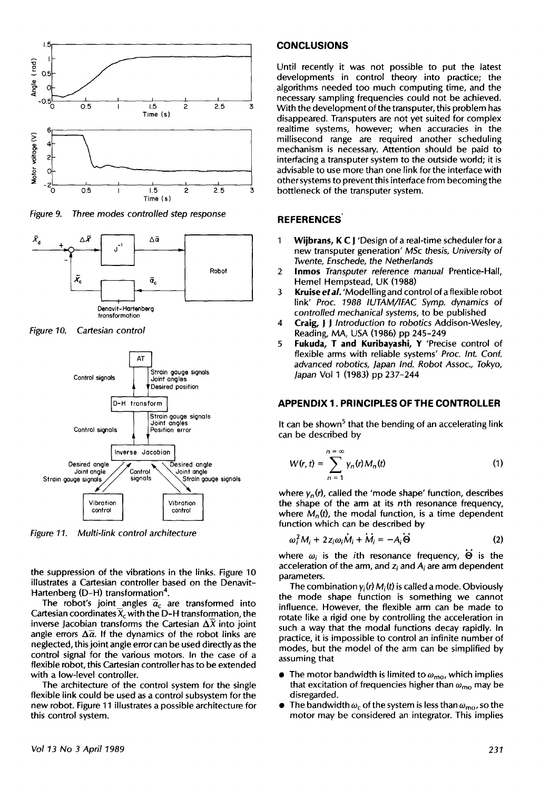

*Three* modes *controfled step response Figure 9.* 



*Figure 10. Cartesian control* 



*Figure 11. Multi-link control architecture* 

the suppression of the vibrations in the links. Figure 10 illustrates a Cartesian controller based on the Denavit-Hartenberg (D-H) transformation<sup>4</sup>.

The robot's joint angles  $\overline{a}_c$  are transformed into Cartesian coordinates  $\overline{X}_c$  with the D-H transformation, the inverse Jacobian transforms the Cartesian  $\Delta X$  into joint angle errors  $\Delta \bar{a}$ . If the dynamics of the robot links are neglected, this joint angle error can be used directly as the control signal for the various motors. In the case of a flexible robot, this Cartesian controller has to be extended with a low-level controller.

The architecture of the control system for the single flexible link could be used as a control subsystem for the new robot. Figure 11 illustrates a possible architecture for this control system.

#### **CONCLUSIONS**

Until recently it was not possible to put the latest developments in control theory into practice; the algorithms needed too much computing time, and the necessary sampling frequencies could not be achieved. With the development of the transputer, this problem has disappeared. Transputers are not yet suited for complex realtime systems, however; when accuracies in the millisecond range are required another scheduling mechanism is necessary. Attention should be paid to interfacing a transputer system to the outside world; it is advisable to use more than one link for the interface with other systems to prevent this interface from becoming the bottleneck of the transputer system.

#### **REFERENCES"**

- 1 Wijbrans, K C J 'Design of a real-time scheduler for a new transputer generation' *MSc* thesis, *University of Twente, Enschede, the Netherlands*
- 2 **Inmos** *Transputer reference manual* Prentice-Hall, Hemel Hempstead, UK (1988)
- *3 Kruiseetal.* 'Modelling and control of a flexible robot link' Proc. 1988 IUTAM/IFAC Symp. dynamics of *controlled mechanical systems,* to be published
- 4 Craig, J J *Introduction to robotics* Addison-Wesley, Reading, MA, USA (1986) pp 245-249
- 5 **Fukuda, T and Kuribayashi,** Y 'Precise control of flexible arms with reliable systems' *Proc. Int. Conf. advanced robotics, Japan Ind. Robot* Assoc., *Tokyo, Japan* Vol 1 (1983) pp 237-244

#### **APPENDIX 1. PRINCIPLES OF THE CONTROLLER**

It can be shown<sup>5</sup> that the bending of an accelerating link can be described by

$$
W(r,t) = \sum_{n=1}^{n=\infty} y_n(r) M_n(t)
$$
 (1)

where  $y_n(r)$ , called the 'mode shape' function, describes the shape of the arm at its nth resonance frequency, where  $M_n(t)$ , the modal function, is a time dependent function which can be described by

$$
\omega_i^2 M_i + 2 z_i \omega_i \dot{M}_i + \dot{M}_i = -A_i \dot{\Theta}
$$
 (2)

where  $\omega_i$  is the *i*th resonance frequency,  $\Theta$  is the acceleration of the arm, and zi and *Ai* are arm dependent parameters.

The combination  $y_i(r) M_i(t)$  is called a mode. Obviously the mode shape function is something we cannot influence. However, the flexible arm can be made to rotate like a rigid one by controlling the acceleration in such a way that the modal functions decay rapidly. In practice, it is impossible to control an infinite number of modes, but the model of the arm can be simplified by assuming that

- The motor bandwidth is limited to  $\omega_{\text{mo}}$ , which implies that excitation of frequencies higher than  $\omega_{\text{mo}}$  may be disregarded.
- The bandwidth  $\omega_c$  of the system is less than  $\omega_{\text{mo}}$ , so the motor may be considered an integrator. This implies